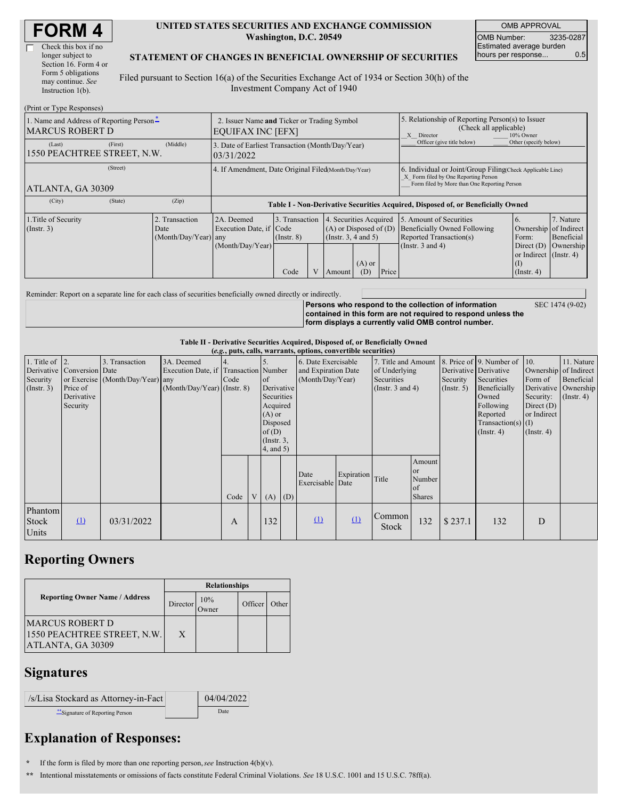| Check this box if no  |
|-----------------------|
| longer subject to     |
| Section 16. Form 4 or |
| Form 5 obligations    |
| may continue. See     |
| Instruction $1(b)$ .  |
|                       |

#### **UNITED STATES SECURITIES AND EXCHANGE COMMISSION Washington, D.C. 20549**

OMB APPROVAL OMB Number: 3235-0287 Estimated average burden hours per response... 0.5

### **STATEMENT OF CHANGES IN BENEFICIAL OWNERSHIP OF SECURITIES**

Filed pursuant to Section 16(a) of the Securities Exchange Act of 1934 or Section 30(h) of the Investment Company Act of 1940

| (Print or Type Responses)                                          |                                                                  |                                                           |                                           |  |                                                                                             |                            |                                                                                                                                                    |                                                                                                             |                                                                                              |                                      |
|--------------------------------------------------------------------|------------------------------------------------------------------|-----------------------------------------------------------|-------------------------------------------|--|---------------------------------------------------------------------------------------------|----------------------------|----------------------------------------------------------------------------------------------------------------------------------------------------|-------------------------------------------------------------------------------------------------------------|----------------------------------------------------------------------------------------------|--------------------------------------|
| 1. Name and Address of Reporting Person-<br><b>MARCUS ROBERT D</b> | 2. Issuer Name and Ticker or Trading Symbol<br>EQUIFAX INC [EFX] |                                                           |                                           |  |                                                                                             |                            | 5. Relationship of Reporting Person(s) to Issuer<br>(Check all applicable)<br>X Director<br>10% Owner                                              |                                                                                                             |                                                                                              |                                      |
| (First)<br>(Last)<br>1550 PEACHTREE STREET, N.W.                   | 3. Date of Earliest Transaction (Month/Day/Year)<br>03/31/2022   |                                                           |                                           |  |                                                                                             | Officer (give title below) | Other (specify below)                                                                                                                              |                                                                                                             |                                                                                              |                                      |
| (Street)<br>ATLANTA, GA 30309                                      | 4. If Amendment, Date Original Filed Month/Day/Year)             |                                                           |                                           |  |                                                                                             |                            | 6. Individual or Joint/Group Filing(Check Applicable Line)<br>X Form filed by One Reporting Person<br>Form filed by More than One Reporting Person |                                                                                                             |                                                                                              |                                      |
| (City)<br>(State)                                                  | (Zip)                                                            |                                                           |                                           |  |                                                                                             |                            | Table I - Non-Derivative Securities Acquired, Disposed of, or Beneficially Owned                                                                   |                                                                                                             |                                                                                              |                                      |
| 1. Title of Security<br>$($ Instr. 3 $)$                           | 2. Transaction<br>Date<br>(Month/Day/Year) any                   | 2A. Deemed<br>Execution Date, if Code<br>(Month/Day/Year) | 3. Transaction<br>$($ Instr. $8)$<br>Code |  | 4. Securities Acquired<br>$(A)$ or Disposed of $(D)$<br>$($ Instr. 3, 4 and 5 $)$<br>Amount | $(A)$ or<br>(D)            | Price                                                                                                                                              | 5. Amount of Securities<br>Beneficially Owned Following<br>Reported Transaction(s)<br>(Instr. $3$ and $4$ ) | Ownership of Indirect<br>Form:<br>Direct $(D)$<br>or Indirect (Instr. 4)<br>$($ Instr. 4 $)$ | 7. Nature<br>Beneficial<br>Ownership |

Reminder: Report on a separate line for each class of securities beneficially owned directly or indirectly.

**Persons who respond to the collection of information contained in this form are not required to respond unless the form displays a currently valid OMB control number.**

SEC 1474 (9-02)

#### **Table II - Derivative Securities Acquired, Disposed of, or Beneficially Owned (***e.g.***, puts, calls, warrants, options, convertible securities)**

| ( <i>e.g.</i> , puts, cans, warrants, options, convertible securities) |                            |                                  |                                       |      |                 |                        |  |                          |            |                       |               |                       |                              |                       |                  |
|------------------------------------------------------------------------|----------------------------|----------------------------------|---------------------------------------|------|-----------------|------------------------|--|--------------------------|------------|-----------------------|---------------|-----------------------|------------------------------|-----------------------|------------------|
| 1. Title of $ 2$ .                                                     |                            | 3. Transaction                   | 3A. Deemed                            | 4.   |                 |                        |  | 6. Date Exercisable      |            | 7. Title and Amount   |               |                       | 8. Price of 9. Number of 10. |                       | 11. Nature       |
|                                                                        | Derivative Conversion Date |                                  | Execution Date, if Transaction Number |      |                 |                        |  | and Expiration Date      |            | of Underlying         |               | Derivative Derivative |                              | Ownership of Indirect |                  |
| Security                                                               |                            | or Exercise (Month/Day/Year) any |                                       | Code |                 | $\overline{\text{of}}$ |  | (Month/Day/Year)         |            | Securities            |               | Security              | Securities                   | Form of               | Beneficial       |
| $($ Instr. 3 $)$                                                       | Price of                   |                                  | $(Month/Day/Year)$ (Instr. 8)         |      |                 | Derivative             |  |                          |            | (Instr. $3$ and $4$ ) |               | $($ Instr. 5 $)$      | Beneficially                 | Derivative Ownership  |                  |
|                                                                        | Derivative                 |                                  |                                       |      |                 | Securities             |  |                          |            |                       |               |                       | Owned                        | Security:             | $($ Instr. 4 $)$ |
|                                                                        | Security                   |                                  |                                       |      |                 | Acquired               |  |                          |            |                       | Following     | Direct $(D)$          |                              |                       |                  |
|                                                                        |                            |                                  |                                       |      |                 | $(A)$ or               |  |                          |            |                       |               |                       | Reported                     | or Indirect           |                  |
|                                                                        |                            |                                  |                                       |      |                 | Disposed               |  |                          |            |                       |               |                       | $Transaction(s)$ (I)         |                       |                  |
|                                                                        |                            |                                  |                                       |      | of(D)           |                        |  |                          |            |                       |               | $($ Instr. 4 $)$      | $($ Instr. 4 $)$             |                       |                  |
|                                                                        |                            |                                  |                                       |      | $($ Instr. $3,$ |                        |  |                          |            |                       |               |                       |                              |                       |                  |
|                                                                        |                            |                                  |                                       |      |                 | $4$ , and $5)$         |  |                          |            |                       |               |                       |                              |                       |                  |
|                                                                        |                            |                                  |                                       |      |                 |                        |  |                          |            |                       | Amount        |                       |                              |                       |                  |
|                                                                        |                            |                                  |                                       |      |                 |                        |  |                          |            |                       | <sub>or</sub> |                       |                              |                       |                  |
|                                                                        |                            |                                  |                                       |      |                 |                        |  | Date<br>Exercisable Date | Expiration | Title                 | Number        |                       |                              |                       |                  |
|                                                                        |                            |                                  |                                       |      |                 |                        |  |                          |            |                       | of            |                       |                              |                       |                  |
|                                                                        |                            |                                  |                                       | Code | $V_{\parallel}$ | $(A)$ $(D)$            |  |                          |            |                       | <b>Shares</b> |                       |                              |                       |                  |
| Phantom                                                                |                            |                                  |                                       |      |                 |                        |  |                          |            |                       |               |                       |                              |                       |                  |
| <b>Stock</b>                                                           | $\Omega$                   | 03/31/2022                       |                                       | A    |                 | 132                    |  | $\mathbf{u}$             | $\Omega$   | Common                | 132           | \$237.1               | 132                          | D                     |                  |
|                                                                        |                            |                                  |                                       |      |                 |                        |  |                          |            | Stock                 |               |                       |                              |                       |                  |
| Units                                                                  |                            |                                  |                                       |      |                 |                        |  |                          |            |                       |               |                       |                              |                       |                  |

## **Reporting Owners**

|                                                                            | <b>Relationships</b> |                      |         |       |  |  |  |
|----------------------------------------------------------------------------|----------------------|----------------------|---------|-------|--|--|--|
| <b>Reporting Owner Name / Address</b>                                      | Director             | 10%<br><b>J</b> wner | Officer | Other |  |  |  |
| <b>MARCUS ROBERT D</b><br>1550 PEACHTREE STREET, N.W.<br>ATLANTA, GA 30309 | X                    |                      |         |       |  |  |  |

### **Signatures**

| /s/Lisa Stockard as Attorney-in-Fact | 04/04/2022 |
|--------------------------------------|------------|
| Signature of Reporting Person        | Date       |

# **Explanation of Responses:**

- **\*** If the form is filed by more than one reporting person,*see* Instruction 4(b)(v).
- **\*\*** Intentional misstatements or omissions of facts constitute Federal Criminal Violations. *See* 18 U.S.C. 1001 and 15 U.S.C. 78ff(a).